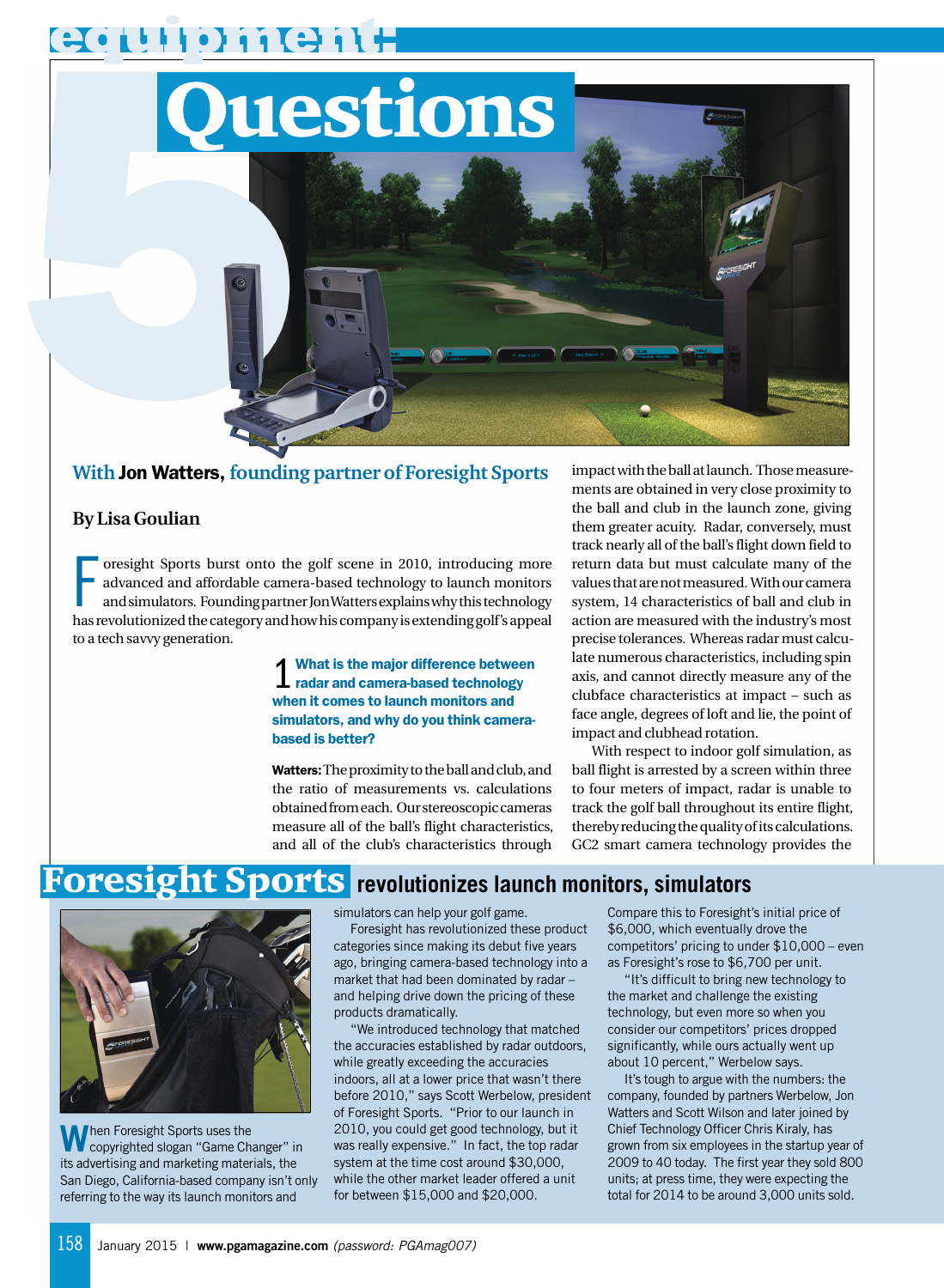**equipment:**



## **With** Jon Watters, **founding partner of Foresight Sports**

#### **By Lisa Goulian**

Fastes oright Sports burst onto the golf scene in 2010, introducing more advanced and affordable camera-based technology to launch monitors and simulators. Founding partner Jon Watters explains why this technology has revo oresight Sports burst onto the golf scene in 2010, introducing more advanced and affordable camera-based technology to launch monitors and simulators. Founding partner Jon Watters explains why this technology to a tech savvy generation.

> 1 What is the major difference betwee<br>1 radar and camera-based technology What is the major difference between when it comes to launch monitors and simulators, and why do you think camerabased is better?

Watters:The proximity to the ball and club, and the ratio of measurements vs. calculations obtained from each. Our stereoscopic cameras measure all of the ball's flight characteristics, and all of the club's characteristics through

impact with the ball at launch. Those measurements are obtained in very close proximity to the ball and club in the launch zone, giving them greater acuity. Radar, conversely, must track nearly all of the ball's flight down field to return data but must calculate many of the values that are not measured. With our camera system, 14 characteristics of ball and club in action are measured with the industry's most precise tolerances. Whereas radar must calculate numerous characteristics, including spin axis, and cannot directly measure any of the clubface characteristics at impact – such as face angle, degrees of loft and lie, the point of impact and clubhead rotation.

With respect to indoor golf simulation, as ball flight is arrested by a screen within three to four meters of impact, radar is unable to track the golf ball throughout its entire flight, thereby reducing the quality of its calculations. GC2 smart camera technology provides the

# Foresight Sports **revolutionizes launch monitors, simulators**



When Foresight Sports uses the<br>its advertising and marketing materials, the hen Foresight Sports uses the copyrighted slogan "Game Changer" in San Diego, California-based company isn't only referring to the way its launch monitors and

simulators can help your golf game.

Foresight has revolutionized these product categories since making its debut five years ago, bringing camera-based technology into a market that had been dominated by radar – and helping drive down the pricing of these products dramatically.

"We introduced technology that matched the accuracies established by radar outdoors, while greatly exceeding the accuracies indoors, all at a lower price that wasn't there before 2010," says Scott Werbelow, president of Foresight Sports. "Prior to our launch in 2010, you could get good technology, but it was really expensive." In fact, the top radar system at the time cost around \$30,000, while the other market leader offered a unit for between \$15,000 and \$20,000.

Compare this to Foresight's initial price of \$6,000, which eventually drove the competitors' pricing to under \$10,000 – even as Foresight's rose to \$6,700 per unit.

"It's difficult to bring new technology to the market and challenge the existing technology, but even more so when you consider our competitors' prices dropped significantly, while ours actually went up about 10 percent," Werbelow says.

It's tough to argue with the numbers: the company, founded by partners Werbelow, Jon Watters and Scott Wilson and later joined by Chief Technology Officer Chris Kiraly, has grown from six employees in the startup year of 2009 to 40 today. The first year they sold 800 units; at press time, they were expecting the total for 2014 to be around 3,000 units sold.